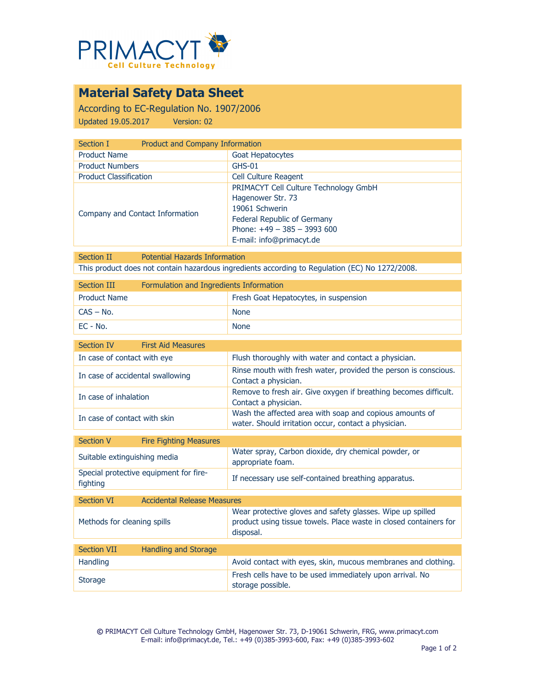

## **Material Safety Data Sheet**

According to EC-Regulation No. 1907/2006 Updated 19.05.2017 Version: 02

| Section I                       | <b>Product and Company Information</b>                                                                                                                                  |  |
|---------------------------------|-------------------------------------------------------------------------------------------------------------------------------------------------------------------------|--|
| <b>Product Name</b>             | Goat Hepatocytes                                                                                                                                                        |  |
| <b>Product Numbers</b>          | $GHS-01$                                                                                                                                                                |  |
| <b>Product Classification</b>   | <b>Cell Culture Reagent</b>                                                                                                                                             |  |
| Company and Contact Information | PRIMACYT Cell Culture Technology GmbH<br>Hagenower Str. 73<br>19061 Schwerin<br>Federal Republic of Germany<br>Phone: $+49 - 385 - 3993600$<br>E-mail: info@primacyt.de |  |

Section II Potential Hazards Information This product does not contain hazardous ingredients according to Regulation (EC) No 1272/2008.

| Section III         | Formulation and Ingredients Information |                                       |
|---------------------|-----------------------------------------|---------------------------------------|
| <b>Product Name</b> |                                         | Fresh Goat Hepatocytes, in suspension |
| $CAS - No.$         |                                         | <b>None</b>                           |
| EC - No.            |                                         | <b>None</b>                           |

| Section IV<br><b>First Aid Measures</b> |                                                                                                                 |
|-----------------------------------------|-----------------------------------------------------------------------------------------------------------------|
| In case of contact with eye             | Flush thoroughly with water and contact a physician.                                                            |
| In case of accidental swallowing        | Rinse mouth with fresh water, provided the person is conscious.<br>Contact a physician.                         |
| In case of inhalation                   | Remove to fresh air. Give oxygen if breathing becomes difficult.<br>Contact a physician.                        |
| In case of contact with skin            | Wash the affected area with soap and copious amounts of<br>water. Should irritation occur, contact a physician. |
|                                         |                                                                                                                 |

| Section V                    | <b>Fire Fighting Measures</b>          |                                                                           |
|------------------------------|----------------------------------------|---------------------------------------------------------------------------|
| Suitable extinguishing media |                                        | Water spray, Carbon dioxide, dry chemical powder, or<br>appropriate foam. |
| fighting                     | Special protective equipment for fire- | If necessary use self-contained breathing apparatus.                      |

| Section VI                  | <b>Accidental Release Measures</b> |                                                                                                                                              |
|-----------------------------|------------------------------------|----------------------------------------------------------------------------------------------------------------------------------------------|
| Methods for cleaning spills |                                    | Wear protective gloves and safety glasses. Wipe up spilled<br>product using tissue towels. Place waste in closed containers for<br>disposal. |
|                             |                                    |                                                                                                                                              |
| <b>Section VII</b>          | Handling and Storage               |                                                                                                                                              |
| <b>Handling</b>             |                                    | Avoid contact with eyes, skin, mucous membranes and clothing.                                                                                |
| <b>Storage</b>              |                                    | Fresh cells have to be used immediately upon arrival. No<br>storage possible.                                                                |

**©** PRIMACYT Cell Culture Technology GmbH, Hagenower Str. 73, D-19061 Schwerin, FRG, www.primacyt.com E-mail: info@primacyt.de, Tel.: +49 (0)385-3993-600, Fax: +49 (0)385-3993-602